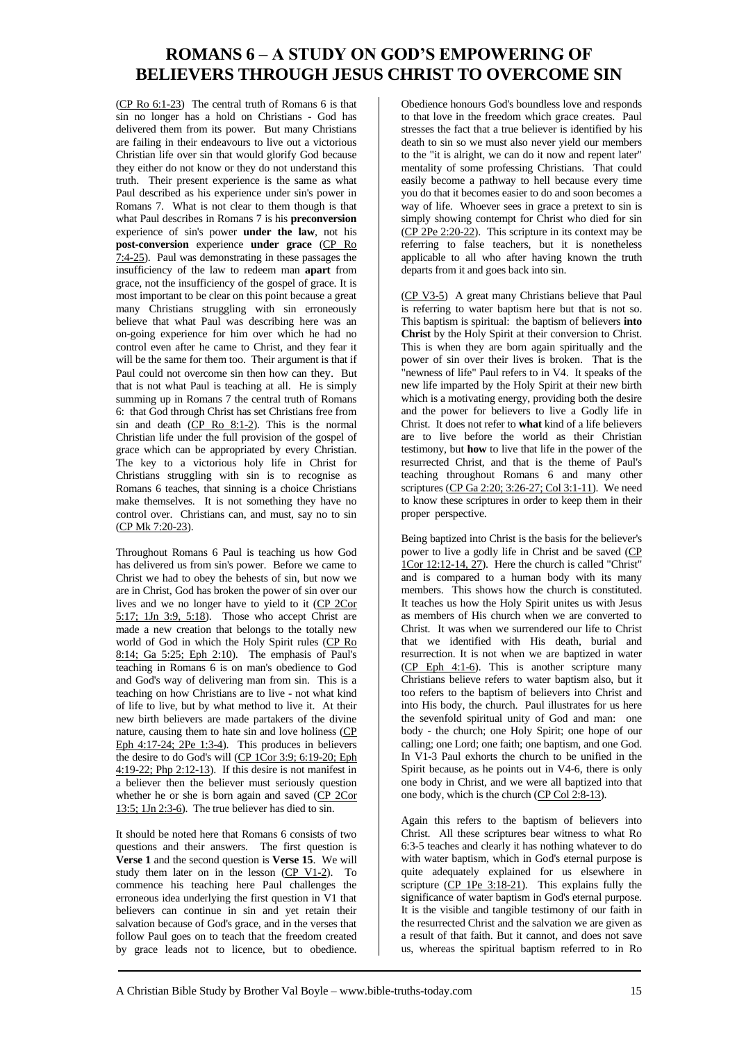## **ROMANS 6 – A STUDY ON GOD'S EMPOWERING OF BELIEVERS THROUGH JESUS CHRIST TO OVERCOME SIN**

(CP Ro 6:1-23) The central truth of Romans 6 is that sin no longer has a hold on Christians - God has delivered them from its power. But many Christians are failing in their endeavours to live out a victorious Christian life over sin that would glorify God because they either do not know or they do not understand this truth. Their present experience is the same as what Paul described as his experience under sin's power in Romans 7. What is not clear to them though is that what Paul describes in Romans 7 is his **preconversion** experience of sin's power **under the law**, not his **post-conversion** experience **under grace** (CP Ro 7:4-25). Paul was demonstrating in these passages the insufficiency of the law to redeem man **apart** from grace, not the insufficiency of the gospel of grace. It is most important to be clear on this point because a great many Christians struggling with sin erroneously believe that what Paul was describing here was an on-going experience for him over which he had no control even after he came to Christ, and they fear it will be the same for them too. Their argument is that if Paul could not overcome sin then how can they. But that is not what Paul is teaching at all. He is simply summing up in Romans 7 the central truth of Romans 6: that God through Christ has set Christians free from sin and death (CP Ro 8:1-2). This is the normal Christian life under the full provision of the gospel of grace which can be appropriated by every Christian. The key to a victorious holy life in Christ for Christians struggling with sin is to recognise as Romans 6 teaches, that sinning is a choice Christians make themselves. It is not something they have no control over. Christians can, and must, say no to sin (CP Mk 7:20-23).

Throughout Romans 6 Paul is teaching us how God has delivered us from sin's power. Before we came to Christ we had to obey the behests of sin, but now we are in Christ, God has broken the power of sin over our lives and we no longer have to yield to it (CP 2Cor 5:17; 1Jn 3:9, 5:18). Those who accept Christ are made a new creation that belongs to the totally new world of God in which the Holy Spirit rules (CP Ro 8:14; Ga 5:25; Eph 2:10). The emphasis of Paul's teaching in Romans 6 is on man's obedience to God and God's way of delivering man from sin. This is a teaching on how Christians are to live - not what kind of life to live, but by what method to live it. At their new birth believers are made partakers of the divine nature, causing them to hate sin and love holiness (CP Eph  $4:17-24$ ;  $2Pe$  1:3-4). This produces in believers the desire to do God's will (CP 1Cor 3:9; 6:19-20; Eph 4:19-22; Php 2:12-13). If this desire is not manifest in a believer then the believer must seriously question whether he or she is born again and saved (CP 2Cor 13:5; 1Jn 2:3-6). The true believer has died to sin.

It should be noted here that Romans 6 consists of two questions and their answers. The first question is **Verse 1** and the second question is **Verse 15**. We will study them later on in the lesson  $(CP V1-2)$ . To commence his teaching here Paul challenges the erroneous idea underlying the first question in V1 that believers can continue in sin and yet retain their salvation because of God's grace, and in the verses that follow Paul goes on to teach that the freedom created by grace leads not to licence, but to obedience.

Obedience honours God's boundless love and responds to that love in the freedom which grace creates. Paul stresses the fact that a true believer is identified by his death to sin so we must also never yield our members to the "it is alright, we can do it now and repent later" mentality of some professing Christians. That could easily become a pathway to hell because every time you do that it becomes easier to do and soon becomes a way of life. Whoever sees in grace a pretext to sin is simply showing contempt for Christ who died for sin (CP 2Pe 2:20-22). This scripture in its context may be referring to false teachers, but it is nonetheless applicable to all who after having known the truth departs from it and goes back into sin.

(CP V3-5) A great many Christians believe that Paul is referring to water baptism here but that is not so. This baptism is spiritual: the baptism of believers **into Christ** by the Holy Spirit at their conversion to Christ. This is when they are born again spiritually and the power of sin over their lives is broken. That is the "newness of life" Paul refers to in V4. It speaks of the new life imparted by the Holy Spirit at their new birth which is a motivating energy, providing both the desire and the power for believers to live a Godly life in Christ. It does not refer to **what** kind of a life believers are to live before the world as their Christian testimony, but **how** to live that life in the power of the resurrected Christ, and that is the theme of Paul's teaching throughout Romans 6 and many other scriptures (CP Ga 2:20; 3:26-27; Col 3:1-11). We need to know these scriptures in order to keep them in their proper perspective.

Being baptized into Christ is the basis for the believer's power to live a godly life in Christ and be saved (CP 1Cor 12:12-14, 27). Here the church is called "Christ" and is compared to a human body with its many members. This shows how the church is constituted. It teaches us how the Holy Spirit unites us with Jesus as members of His church when we are converted to Christ. It was when we surrendered our life to Christ that we identified with His death, burial and resurrection. It is not when we are baptized in water (CP Eph 4:1-6). This is another scripture many Christians believe refers to water baptism also, but it too refers to the baptism of believers into Christ and into His body, the church. Paul illustrates for us here the sevenfold spiritual unity of God and man: one body - the church; one Holy Spirit; one hope of our calling; one Lord; one faith; one baptism, and one God. In V1-3 Paul exhorts the church to be unified in the Spirit because, as he points out in V4-6, there is only one body in Christ, and we were all baptized into that one body, which is the church (CP Col 2:8-13).

Again this refers to the baptism of believers into Christ. All these scriptures bear witness to what Ro 6:3-5 teaches and clearly it has nothing whatever to do with water baptism, which in God's eternal purpose is quite adequately explained for us elsewhere in scripture (CP 1Pe 3:18-21). This explains fully the significance of water baptism in God's eternal purpose. It is the visible and tangible testimony of our faith in the resurrected Christ and the salvation we are given as a result of that faith. But it cannot, and does not save us, whereas the spiritual baptism referred to in Ro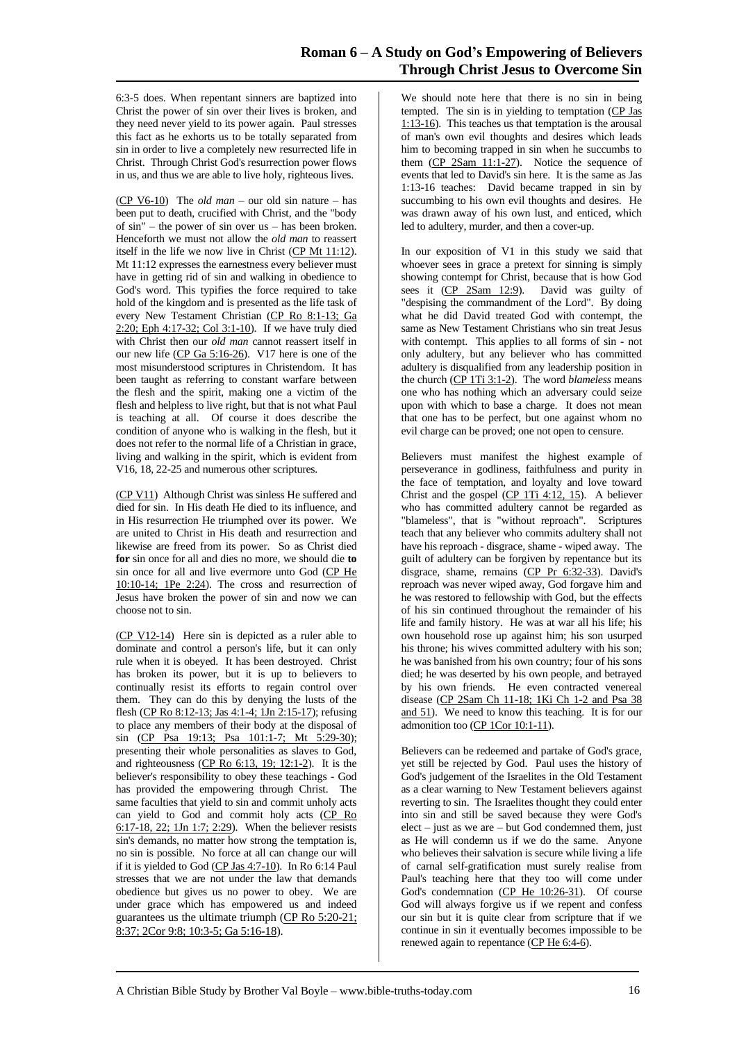6:3-5 does. When repentant sinners are baptized into Christ the power of sin over their lives is broken, and they need never yield to its power again. Paul stresses this fact as he exhorts us to be totally separated from sin in order to live a completely new resurrected life in Christ. Through Christ God's resurrection power flows in us, and thus we are able to live holy, righteous lives.

(CP V6-10) The *old man* – our old sin nature – has been put to death, crucified with Christ, and the "body of sin" – the power of sin over us – has been broken. Henceforth we must not allow the *old man* to reassert itself in the life we now live in Christ (CP Mt 11:12). Mt 11:12 expresses the earnestness every believer must have in getting rid of sin and walking in obedience to God's word. This typifies the force required to take hold of the kingdom and is presented as the life task of every New Testament Christian (CP Ro 8:1-13; Ga 2:20; Eph 4:17-32; Col 3:1-10). If we have truly died with Christ then our *old man* cannot reassert itself in our new life (CP Ga 5:16-26). V17 here is one of the most misunderstood scriptures in Christendom. It has been taught as referring to constant warfare between the flesh and the spirit, making one a victim of the flesh and helpless to live right, but that is not what Paul is teaching at all. Of course it does describe the condition of anyone who is walking in the flesh, but it does not refer to the normal life of a Christian in grace, living and walking in the spirit, which is evident from V16, 18, 22-25 and numerous other scriptures.

(CP V11) Although Christ was sinless He suffered and died for sin. In His death He died to its influence, and in His resurrection He triumphed over its power. We are united to Christ in His death and resurrection and likewise are freed from its power. So as Christ died **for** sin once for all and dies no more, we should die **to** sin once for all and live evermore unto God (CP He  $10:10-14$ ; 1Pe  $2:24$ ). The cross and resurrection of Jesus have broken the power of sin and now we can choose not to sin.

(CP V12-14) Here sin is depicted as a ruler able to dominate and control a person's life, but it can only rule when it is obeyed. It has been destroyed. Christ has broken its power, but it is up to believers to continually resist its efforts to regain control over them. They can do this by denying the lusts of the flesh (CP Ro 8:12-13; Jas 4:1-4; 1Jn 2:15-17); refusing to place any members of their body at the disposal of sin (CP Psa 19:13; Psa 101:1-7; Mt 5:29-30); presenting their whole personalities as slaves to God, and righteousness  $(CP \t{Ro } 6:13, 19; 12:1-2)$ . It is the believer's responsibility to obey these teachings - God has provided the empowering through Christ. The same faculties that yield to sin and commit unholy acts can yield to God and commit holy acts (CP Ro 6:17-18, 22; 1Jn 1:7; 2:29). When the believer resists sin's demands, no matter how strong the temptation is, no sin is possible. No force at all can change our will if it is yielded to God (CP Jas 4:7-10). In Ro 6:14 Paul stresses that we are not under the law that demands obedience but gives us no power to obey. We are under grace which has empowered us and indeed guarantees us the ultimate triumph (CP Ro 5:20-21; 8:37; 2Cor 9:8; 10:3-5; Ga 5:16-18).

We should note here that there is no sin in being tempted. The sin is in yielding to temptation (CP Jas 1:13-16). This teaches us that temptation is the arousal of man's own evil thoughts and desires which leads him to becoming trapped in sin when he succumbs to them (CP 2Sam 11:1-27). Notice the sequence of events that led to David's sin here. It is the same as Jas 1:13-16 teaches: David became trapped in sin by succumbing to his own evil thoughts and desires. He was drawn away of his own lust, and enticed, which led to adultery, murder, and then a cover-up.

In our exposition of V1 in this study we said that whoever sees in grace a pretext for sinning is simply showing contempt for Christ, because that is how God sees it (CP 2Sam 12:9). David was guilty of "despising the commandment of the Lord". By doing what he did David treated God with contempt, the same as New Testament Christians who sin treat Jesus with contempt. This applies to all forms of sin - not only adultery, but any believer who has committed adultery is disqualified from any leadership position in the church (CP 1Ti 3:1-2). The word *blameless* means one who has nothing which an adversary could seize upon with which to base a charge. It does not mean that one has to be perfect, but one against whom no evil charge can be proved; one not open to censure.

Believers must manifest the highest example of perseverance in godliness, faithfulness and purity in the face of temptation, and loyalty and love toward Christ and the gospel  $(CP 1Ti 4:12, 15)$ . A believer who has committed adultery cannot be regarded as "blameless", that is "without reproach". Scriptures teach that any believer who commits adultery shall not have his reproach - disgrace, shame - wiped away. The guilt of adultery can be forgiven by repentance but its disgrace, shame, remains (CP Pr 6:32-33). David's reproach was never wiped away, God forgave him and he was restored to fellowship with God, but the effects of his sin continued throughout the remainder of his life and family history. He was at war all his life; his own household rose up against him; his son usurped his throne; his wives committed adultery with his son; he was banished from his own country; four of his sons died; he was deserted by his own people, and betrayed by his own friends. He even contracted venereal disease (CP 2Sam Ch 11-18; 1Ki Ch 1-2 and Psa 38 and 51). We need to know this teaching. It is for our admonition too (CP 1Cor 10:1-11).

Believers can be redeemed and partake of God's grace, yet still be rejected by God. Paul uses the history of God's judgement of the Israelites in the Old Testament as a clear warning to New Testament believers against reverting to sin. The Israelites thought they could enter into sin and still be saved because they were God's elect – just as we are – but God condemned them, just as He will condemn us if we do the same. Anyone who believes their salvation is secure while living a life of carnal self-gratification must surely realise from Paul's teaching here that they too will come under God's condemnation (CP He 10:26-31). Of course God will always forgive us if we repent and confess our sin but it is quite clear from scripture that if we continue in sin it eventually becomes impossible to be renewed again to repentance (CP He 6:4-6).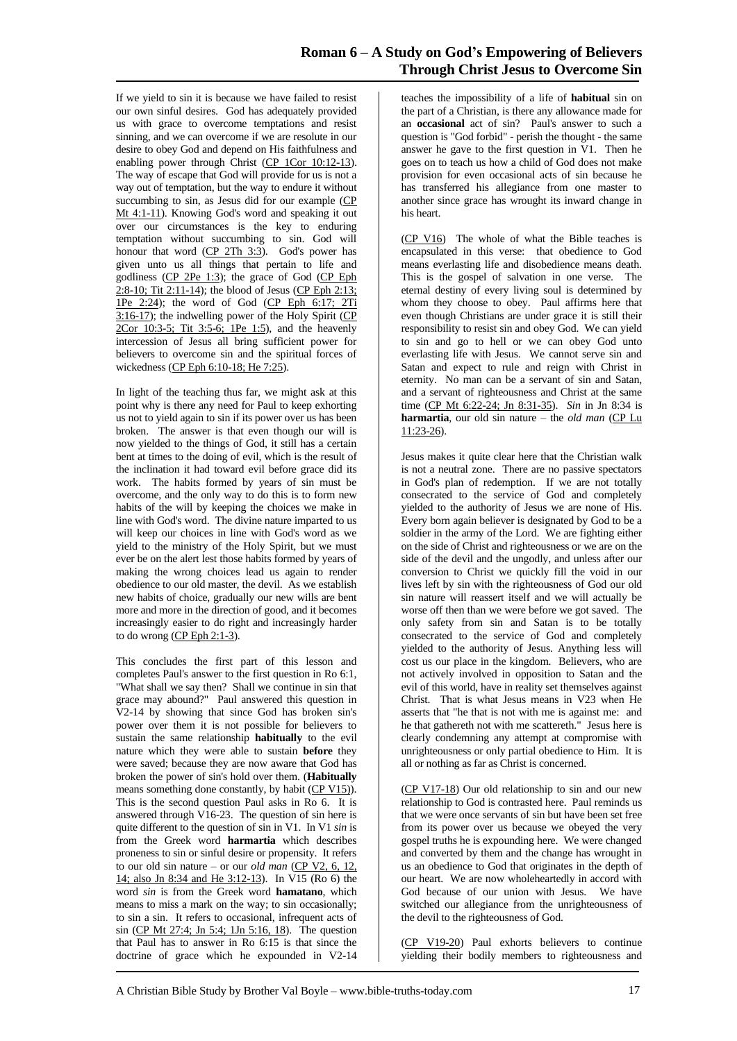If we yield to sin it is because we have failed to resist our own sinful desires. God has adequately provided us with grace to overcome temptations and resist sinning, and we can overcome if we are resolute in our desire to obey God and depend on His faithfulness and enabling power through Christ (CP 1Cor 10:12-13). The way of escape that God will provide for us is not a way out of temptation, but the way to endure it without succumbing to sin, as Jesus did for our example (CP Mt 4:1-11). Knowing God's word and speaking it out over our circumstances is the key to enduring temptation without succumbing to sin. God will honour that word  $(\underline{CP}$  2Th 3:3). God's power has given unto us all things that pertain to life and godliness (CP 2Pe 1:3); the grace of God (CP Eph  $2:8-10$ ; Tit  $2:11-14$ ); the blood of Jesus (CP Eph 2:13; 1Pe 2:24); the word of God (CP Eph 6:17; 2Ti 3:16-17); the indwelling power of the Holy Spirit (CP 2Cor 10:3-5; Tit 3:5-6; 1Pe 1:5), and the heavenly intercession of Jesus all bring sufficient power for believers to overcome sin and the spiritual forces of wickedness (CP Eph 6:10-18; He 7:25).

In light of the teaching thus far, we might ask at this point why is there any need for Paul to keep exhorting us not to yield again to sin if its power over us has been broken. The answer is that even though our will is now yielded to the things of God, it still has a certain bent at times to the doing of evil, which is the result of the inclination it had toward evil before grace did its work. The habits formed by years of sin must be overcome, and the only way to do this is to form new habits of the will by keeping the choices we make in line with God's word. The divine nature imparted to us will keep our choices in line with God's word as we yield to the ministry of the Holy Spirit, but we must ever be on the alert lest those habits formed by years of making the wrong choices lead us again to render obedience to our old master, the devil. As we establish new habits of choice, gradually our new wills are bent more and more in the direction of good, and it becomes increasingly easier to do right and increasingly harder to do wrong (CP Eph 2:1-3).

This concludes the first part of this lesson and completes Paul's answer to the first question in Ro 6:1, "What shall we say then? Shall we continue in sin that grace may abound?" Paul answered this question in V2-14 by showing that since God has broken sin's power over them it is not possible for believers to sustain the same relationship **habitually** to the evil nature which they were able to sustain **before** they were saved; because they are now aware that God has broken the power of sin's hold over them. (**Habitually** means something done constantly, by habit (CP V15)). This is the second question Paul asks in Ro 6. It is answered through V16-23. The question of sin here is quite different to the question of sin in V1. In V1 *sin* is from the Greek word **harmartia** which describes proneness to sin or sinful desire or propensity. It refers to our old sin nature – or our *old man* (CP V2, 6, 12, 14; also Jn 8:34 and He 3:12-13). In V15 (Ro 6) the word *sin* is from the Greek word **hamatano**, which means to miss a mark on the way; to sin occasionally; to sin a sin. It refers to occasional, infrequent acts of sin (CP Mt 27:4; Jn 5:4; 1Jn 5:16, 18). The question that Paul has to answer in Ro 6:15 is that since the doctrine of grace which he expounded in V2-14

teaches the impossibility of a life of **habitual** sin on the part of a Christian, is there any allowance made for an **occasional** act of sin? Paul's answer to such a question is "God forbid" - perish the thought - the same answer he gave to the first question in V1. Then he goes on to teach us how a child of God does not make provision for even occasional acts of sin because he has transferred his allegiance from one master to another since grace has wrought its inward change in his heart.

(CP V16) The whole of what the Bible teaches is encapsulated in this verse: that obedience to God means everlasting life and disobedience means death. This is the gospel of salvation in one verse. The eternal destiny of every living soul is determined by whom they choose to obey. Paul affirms here that even though Christians are under grace it is still their responsibility to resist sin and obey God. We can yield to sin and go to hell or we can obey God unto everlasting life with Jesus. We cannot serve sin and Satan and expect to rule and reign with Christ in eternity. No man can be a servant of sin and Satan, and a servant of righteousness and Christ at the same time (CP Mt 6:22-24; Jn 8:31-35). *Sin* in Jn 8:34 is **harmartia**, our old sin nature – the *old man* (CP Lu 11:23-26).

Jesus makes it quite clear here that the Christian walk is not a neutral zone. There are no passive spectators in God's plan of redemption. If we are not totally consecrated to the service of God and completely yielded to the authority of Jesus we are none of His. Every born again believer is designated by God to be a soldier in the army of the Lord. We are fighting either on the side of Christ and righteousness or we are on the side of the devil and the ungodly, and unless after our conversion to Christ we quickly fill the void in our lives left by sin with the righteousness of God our old sin nature will reassert itself and we will actually be worse off then than we were before we got saved. The only safety from sin and Satan is to be totally consecrated to the service of God and completely yielded to the authority of Jesus. Anything less will cost us our place in the kingdom. Believers, who are not actively involved in opposition to Satan and the evil of this world, have in reality set themselves against Christ. That is what Jesus means in V23 when He asserts that "he that is not with me is against me: and he that gathereth not with me scattereth." Jesus here is clearly condemning any attempt at compromise with unrighteousness or only partial obedience to Him. It is all or nothing as far as Christ is concerned.

(CP V17-18) Our old relationship to sin and our new relationship to God is contrasted here. Paul reminds us that we were once servants of sin but have been set free from its power over us because we obeyed the very gospel truths he is expounding here. We were changed and converted by them and the change has wrought in us an obedience to God that originates in the depth of our heart. We are now wholeheartedly in accord with God because of our union with Jesus. We have switched our allegiance from the unrighteousness of the devil to the righteousness of God.

(CP V19-20) Paul exhorts believers to continue yielding their bodily members to righteousness and